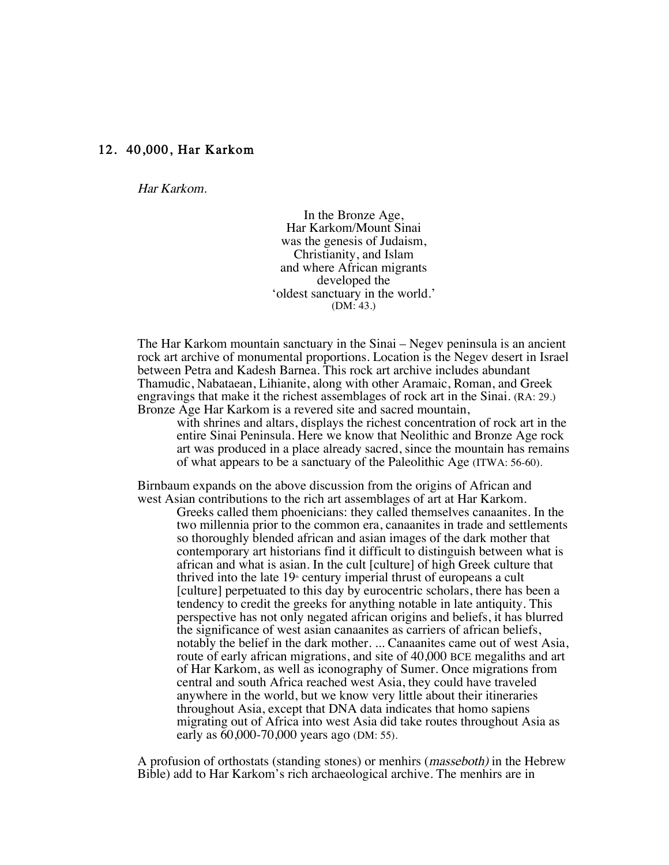## 12. 40,000, Har Karkom

Har Karkom.

In the Bronze Age, Har Karkom/Mount Sinai was the genesis of Judaism, Christianity, and Islam and where African migrants developed the 'oldest sanctuary in the world.' (DM: 43.)

The Har Karkom mountain sanctuary in the Sinai – Negev peninsula is an ancient rock art archive of monumental proportions. Location is the Negev desert in Israel between Petra and Kadesh Barnea. This rock art archive includes abundant Thamudic, Nabataean, Lihianite, along with other Aramaic, Roman, and Greek engravings that make it the richest assemblages of rock art in the Sinai. (RA: 29.) Bronze Age Har Karkom is a revered site and sacred mountain,

with shrines and altars, displays the richest concentration of rock art in the entire Sinai Peninsula. Here we know that Neolithic and Bronze Age rock art was produced in a place already sacred, since the mountain has remains of what appears to be a sanctuary of the Paleolithic Age (ITWA: 56-60).

Birnbaum expands on the above discussion from the origins of African and west Asian contributions to the rich art assemblages of art at Har Karkom.

Greeks called them phoenicians: they called themselves canaanites. In the two millennia prior to the common era, canaanites in trade and settlements so thoroughly blended african and asian images of the dark mother that contemporary art historians find it difficult to distinguish between what is african and what is asian. In the cult [culture] of high Greek culture that thrived into the late  $19<sup>th</sup>$  century imperial thrust of europeans a cult [culture] perpetuated to this day by eurocentric scholars, there has been a tendency to credit the greeks for anything notable in late antiquity. This perspective has not only negated african origins and beliefs, it has blurred the significance of west asian canaanites as carriers of african beliefs, notably the belief in the dark mother. ... Canaanites came out of west Asia, route of early african migrations, and site of 40,000 BCE megaliths and art of Har Karkom, as well as iconography of Sumer. Once migrations from central and south Africa reached west Asia, they could have traveled anywhere in the world, but we know very little about their itineraries throughout Asia, except that DNA data indicates that homo sapiens migrating out of Africa into west Asia did take routes throughout Asia as early as 60,000-70,000 years ago (DM: 55).

A profusion of orthostats (standing stones) or menhirs (masseboth) in the Hebrew Bible) add to Har Karkom's rich archaeological archive. The menhirs are in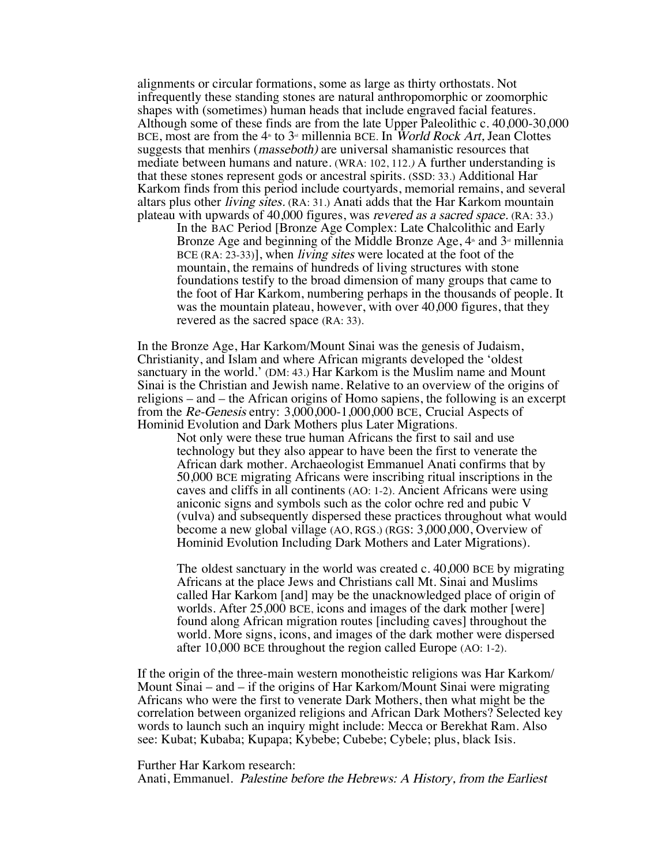alignments or circular formations, some as large as thirty orthostats. Not infrequently these standing stones are natural anthropomorphic or zoomorphic shapes with (sometimes) human heads that include engraved facial features. Although some of these finds are from the late Upper Paleolithic c. 40,000-30,000 BCE, most are from the  $4<sup>n</sup>$  to  $3<sup>n</sup>$  millennia BCE. In *World Rock Art*, Jean Clottes suggests that menhirs (masseboth) are universal shamanistic resources that mediate between humans and nature. (WRA: 102, 112.) A further understanding is that these stones represent gods or ancestral spirits. (SSD: 33.) Additional Har Karkom finds from this period include courtyards, memorial remains, and several altars plus other living sites. (RA: 31.) Anati adds that the Har Karkom mountain plateau with upwards of 40,000 figures, was revered as a sacred space. (RA: 33.)

In the BAC Period [Bronze Age Complex: Late Chalcolithic and Early Bronze Age and beginning of the Middle Bronze Age,  $4^{\circ}$  and  $3^{\circ}$  millennia BCE (RA: 23-33)], when *living sites* were located at the foot of the mountain, the remains of hundreds of living structures with stone foundations testify to the broad dimension of many groups that came to the foot of Har Karkom, numbering perhaps in the thousands of people. It was the mountain plateau, however, with over 40,000 figures, that they revered as the sacred space (RA: 33).

In the Bronze Age, Har Karkom/Mount Sinai was the genesis of Judaism, Christianity, and Islam and where African migrants developed the 'oldest sanctuary in the world.' (DM: 43.) Har Karkom is the Muslim name and Mount Sinai is the Christian and Jewish name. Relative to an overview of the origins of religions – and – the African origins of Homo sapiens, the following is an excerpt from the Re-Genesis entry: 3,000,000-1,000,000 BCE, Crucial Aspects of Hominid Evolution and Dark Mothers plus Later Migrations.

Not only were these true human Africans the first to sail and use technology but they also appear to have been the first to venerate the African dark mother. Archaeologist Emmanuel Anati confirms that by 50,000 BCE migrating Africans were inscribing ritual inscriptions in the caves and cliffs in all continents (AO: 1-2). Ancient Africans were using aniconic signs and symbols such as the color ochre red and pubic V (vulva) and subsequently dispersed these practices throughout what would become a new global village (AO, RGS.) (RGS: 3,000,000, Overview of Hominid Evolution Including Dark Mothers and Later Migrations).

The oldest sanctuary in the world was created c. 40,000 BCE by migrating Africans at the place Jews and Christians call Mt. Sinai and Muslims called Har Karkom [and] may be the unacknowledged place of origin of worlds. After 25,000 BCE, icons and images of the dark mother [were] found along African migration routes [including caves] throughout the world. More signs, icons, and images of the dark mother were dispersed after 10,000 BCE throughout the region called Europe (AO: 1-2).

If the origin of the three-main western monotheistic religions was Har Karkom/ Mount Sinai – and – if the origins of Har Karkom/Mount Sinai were migrating Africans who were the first to venerate Dark Mothers, then what might be the correlation between organized religions and African Dark Mothers? Selected key words to launch such an inquiry might include: Mecca or Berekhat Ram. Also see: Kubat; Kubaba; Kupapa; Kybebe; Cubebe; Cybele; plus, black Isis.

## Further Har Karkom research:

Anati, Emmanuel. Palestine before the Hebrews: A History, from the Earliest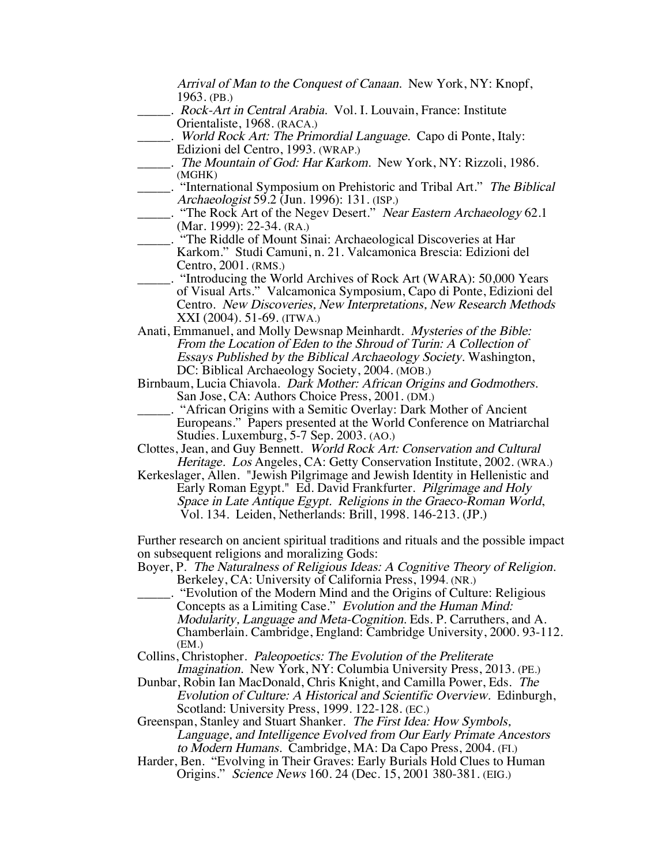Arrival of Man to the Conquest of Canaan. New York, NY: Knopf, 1963. (PB.)

- .. Rock-Art in Central Arabia. Vol. I. Louvain, France: Institute Orientaliste, 1968. (RACA.)
	- \_\_\_\_\_. World Rock Art: The Primordial Language. Capo di Ponte, Italy: Edizioni del Centro, 1993. (WRAP.)
- \_\_\_\_\_. The Mountain of God: Har Karkom. New York, NY: Rizzoli, 1986. (MGHK)
- \_\_\_\_\_. "International Symposium on Prehistoric and Tribal Art." The Biblical Archaeologist 59.2 (Jun. 1996): 131. (ISP.)
- . "The Rock Art of the Negev Desert." Near Eastern Archaeology 62.1 (Mar. 1999): 22-34. (RA.)
- \_\_\_\_\_. "The Riddle of Mount Sinai: Archaeological Discoveries at Har Karkom." Studi Camuni, n. 21. Valcamonica Brescia: Edizioni del Centro, 2001. (RMS.)
- \_\_\_\_\_. "Introducing the World Archives of Rock Art (WARA): 50,000 Years of Visual Arts." Valcamonica Symposium, Capo di Ponte, Edizioni del Centro. New Discoveries, New Interpretations, New Research Methods XXI (2004). 51-69. (ITWA.)
- Anati, Emmanuel, and Molly Dewsnap Meinhardt. Mysteries of the Bible: From the Location of Eden to the Shroud of Turin: A Collection of Essays Published by the Biblical Archaeology Society. Washington, DC: Biblical Archaeology Society, 2004. (MOB.)
- Birnbaum, Lucia Chiavola. Dark Mother: African Origins and Godmothers. San Jose, CA: Authors Choice Press, 2001. (DM.)
- \_\_\_\_\_. "African Origins with a Semitic Overlay: Dark Mother of Ancient Europeans." Papers presented at the World Conference on Matriarchal Studies. Luxemburg, 5-7 Sep. 2003. (AO.)
- Clottes, Jean, and Guy Bennett. World Rock Art: Conservation and Cultural Heritage. Los Angeles, CA: Getty Conservation Institute, 2002. (WRA.)
- Kerkeslager, Allen. "Jewish Pilgrimage and Jewish Identity in Hellenistic and Early Roman Egypt." Ed. David Frankfurter. Pilgrimage and Holy Space in Late Antique Egypt. Religions in the Graeco-Roman World, Vol. 134. Leiden, Netherlands: Brill, 1998. 146-213. (JP.)

Further research on ancient spiritual traditions and rituals and the possible impact on subsequent religions and moralizing Gods:

- Boyer, P. The Naturalness of Religious Ideas: A Cognitive Theory of Religion. Berkeley, CA: University of California Press, 1994. (NR.)
- \_\_\_\_\_. "Evolution of the Modern Mind and the Origins of Culture: Religious Concepts as a Limiting Case." Evolution and the Human Mind: Modularity, Language and Meta-Cognition. Eds. P. Carruthers, and A. Chamberlain. Cambridge, England: Cambridge University, 2000. 93-112. (EM.)
- Collins, Christopher. Paleopoetics: The Evolution of the Preliterate Imagination. New York, NY: Columbia University Press, 2013. (PE.)
- Dunbar, Robin Ian MacDonald, Chris Knight, and Camilla Power, Eds. The Evolution of Culture: A Historical and Scientific Overview. Edinburgh, Scotland: University Press, 1999. 122-128. (EC.)

Greenspan, Stanley and Stuart Shanker. The First Idea: How Symbols, Language, and Intelligence Evolved from Our Early Primate Ancestors to Modern Humans. Cambridge, MA: Da Capo Press, 2004. (FI.)

Harder, Ben. "Evolving in Their Graves: Early Burials Hold Clues to Human Origins." Science News 160. 24 (Dec. 15, 2001 380-381. (EIG.)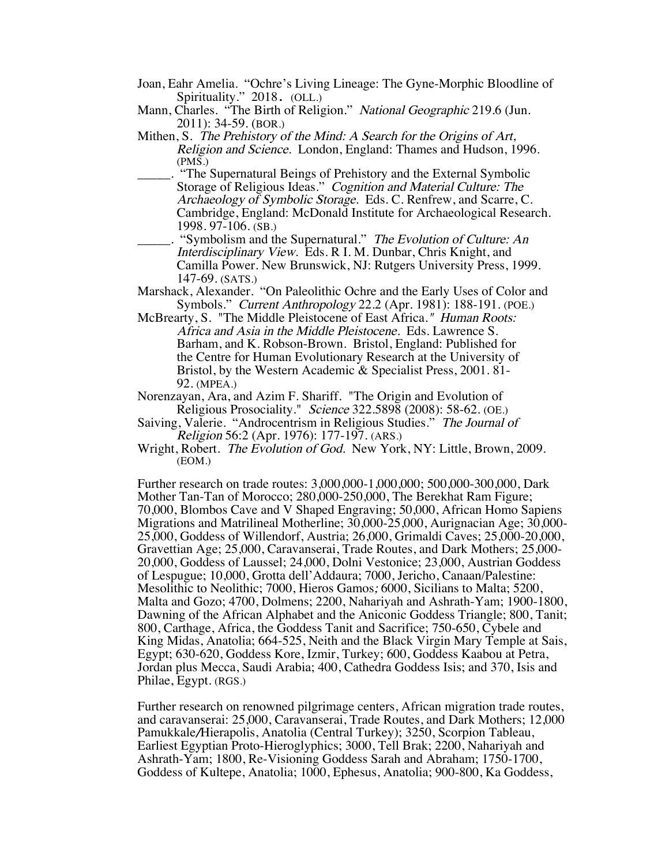- Joan, Eahr Amelia. "Ochre's Living Lineage: The Gyne-Morphic Bloodline of Spirituality." 2018. (OLL.)
- Mann, Charles. "The Birth of Religion." National Geographic 219.6 (Jun. 2011): 34-59. (BOR.)
- Mithen, S. The Prehistory of the Mind: A Search for the Origins of Art, Religion and Science. London, England: Thames and Hudson, 1996. (PMS.)
	- \_\_\_\_\_. "The Supernatural Beings of Prehistory and the External Symbolic Storage of Religious Ideas." Cognition and Material Culture: The Archaeology of Symbolic Storage. Eds. C. Renfrew, and Scarre, C. Cambridge, England: McDonald Institute for Archaeological Research. 1998. 97-106. (SB.)
- .. "Symbolism and the Supernatural." The Evolution of Culture: An Interdisciplinary View. Eds. R I. M. Dunbar, Chris Knight, and Camilla Power. New Brunswick, NJ: Rutgers University Press, 1999. 147-69. (SATS.)
- Marshack, Alexander. "On Paleolithic Ochre and the Early Uses of Color and Symbols." Current Anthropology 22.2 (Apr. 1981): 188-191. (POE.)
- McBrearty, S. "The Middle Pleistocene of East Africa." Human Roots: Africa and Asia in the Middle Pleistocene. Eds. Lawrence S. Barham, and K. Robson-Brown. Bristol, England: Published for the Centre for Human Evolutionary Research at the University of Bristol, by the Western Academic & Specialist Press, 2001. 81- 92. (MPEA.)
- Norenzayan, Ara, and Azim F. Shariff. "The Origin and Evolution of Religious Prosociality." Science 322.5898 (2008): 58-62. (OE.)
- Saiving, Valerie. "Androcentrism in Religious Studies." The Journal of Religion 56:2 (Apr. 1976): 177-197. (ARS.)
- Wright, Robert. The Evolution of God. New York, NY: Little, Brown, 2009. (EOM.)

Further research on trade routes: 3,000,000-1,000,000; 500,000-300,000, Dark Mother Tan-Tan of Morocco; 280,000-250,000, The Berekhat Ram Figure; 70,000, Blombos Cave and V Shaped Engraving; 50,000, African Homo Sapiens Migrations and Matrilineal Motherline; 30,000-25,000, Aurignacian Age; 30,000- 25,000, Goddess of Willendorf, Austria; 26,000, Grimaldi Caves; 25,000-20,000, Gravettian Age; 25,000, Caravanserai, Trade Routes, and Dark Mothers; 25,000- 20,000, Goddess of Laussel; 24,000, Dolni Vestonice; 23,000, Austrian Goddess of Lespugue; 10,000, Grotta dell'Addaura; 7000, Jericho, Canaan/Palestine: Mesolithic to Neolithic; 7000, Hieros Gamos; 6000, Sicilians to Malta; 5200, Malta and Gozo; 4700, Dolmens; 2200, Nahariyah and Ashrath-Yam; 1900-1800, Dawning of the African Alphabet and the Aniconic Goddess Triangle; 800, Tanit; 800, Carthage, Africa, the Goddess Tanit and Sacrifice; 750-650, Cybele and King Midas, Anatolia; 664-525, Neith and the Black Virgin Mary Temple at Sais, Egypt; 630-620, Goddess Kore, Izmir, Turkey; 600, Goddess Kaabou at Petra, Jordan plus Mecca, Saudi Arabia; 400, Cathedra Goddess Isis; and 370, Isis and Philae, Egypt. (RGS.)

Further research on renowned pilgrimage centers, African migration trade routes, and caravanserai: 25,000, Caravanserai, Trade Routes, and Dark Mothers; 12,000 Pamukkale/Hierapolis, Anatolia (Central Turkey); 3250, Scorpion Tableau, Earliest Egyptian Proto-Hieroglyphics; 3000, Tell Brak; 2200, Nahariyah and Ashrath-Yam; 1800, Re-Visioning Goddess Sarah and Abraham; 1750-1700, Goddess of Kultepe, Anatolia; 1000, Ephesus, Anatolia; 900-800, Ka Goddess,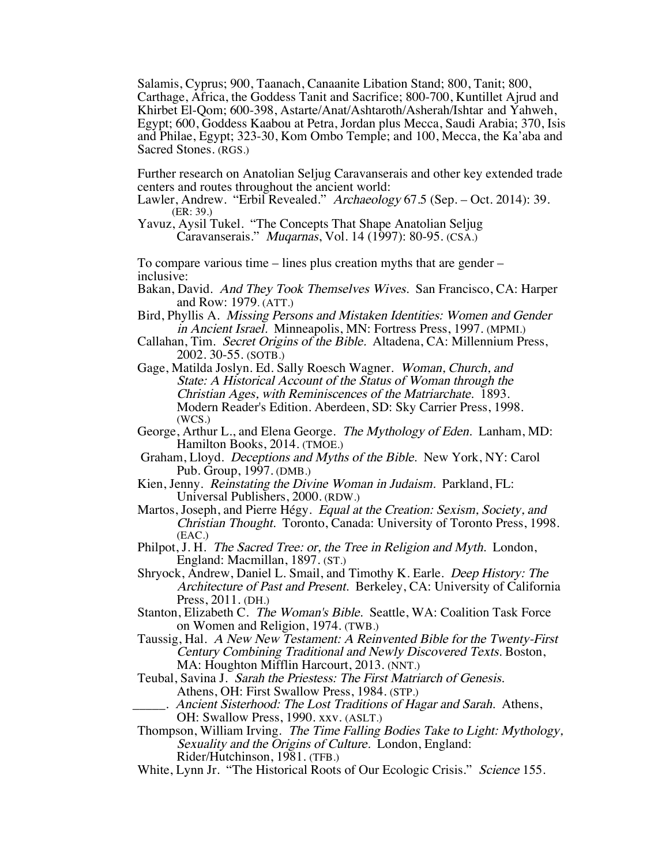Salamis, Cyprus; 900, Taanach, Canaanite Libation Stand; 800, Tanit; 800, Carthage, Africa, the Goddess Tanit and Sacrifice; 800-700, Kuntillet Ajrud and Khirbet El-Qom; 600-398, Astarte/Anat/Ashtaroth/Asherah/Ishtar and Yahweh, Egypt; 600, Goddess Kaabou at Petra, Jordan plus Mecca, Saudi Arabia; 370, Isis and Philae, Egypt; 323-30, Kom Ombo Temple; and 100, Mecca, the Ka'aba and Sacred Stones. (RGS.)

Further research on Anatolian Seljug Caravanserais and other key extended trade centers and routes throughout the ancient world:

- Lawler, Andrew. "Erbil Revealed." Archaeology 67.5 (Sep. Oct. 2014): 39. (ER: 39.)
- Yavuz, Aysil Tukel. "The Concepts That Shape Anatolian Seljug Caravanserais." Muqarnas, Vol. 14 (1997): 80-95. (CSA.)

To compare various time – lines plus creation myths that are gender – inclusive:

- Bakan, David. And They Took Themselves Wives. San Francisco, CA: Harper and Row: 1979. (ATT.)
- Bird, Phyllis A. Missing Persons and Mistaken Identities: Women and Gender in Ancient Israel. Minneapolis, MN: Fortress Press, 1997. (MPMI.)
- Callahan, Tim. Secret Origins of the Bible. Altadena, CA: Millennium Press, 2002. 30-55. (SOTB.)
- Gage, Matilda Joslyn. Ed. Sally Roesch Wagner. Woman, Church, and State: A Historical Account of the Status of Woman through the Christian Ages, with Reminiscences of the Matriarchate. 1893. Modern Reader's Edition. Aberdeen, SD: Sky Carrier Press, 1998. (WCS.)
- George, Arthur L., and Elena George. The Mythology of Eden. Lanham, MD: Hamilton Books, 2014. (TMOE.)
- Graham, Lloyd. Deceptions and Myths of the Bible. New York, NY: Carol Pub. Group, 1997. (DMB.)
- Kien, Jenny. Reinstating the Divine Woman in Judaism. Parkland, FL: Universal Publishers, 2000. (RDW.)
- Martos, Joseph, and Pierre Hégy. Equal at the Creation: Sexism, Society, and Christian Thought. Toronto, Canada: University of Toronto Press, 1998. (EAC.)
- Philpot, J. H. The Sacred Tree: or, the Tree in Religion and Myth. London, England: Macmillan, 1897. (ST.)
- Shryock, Andrew, Daniel L. Smail, and Timothy K. Earle. Deep History: The Architecture of Past and Present. Berkeley, CA: University of California Press, 2011. (DH.)
- Stanton, Elizabeth C. The Woman's Bible. Seattle, WA: Coalition Task Force on Women and Religion, 1974. (TWB.)
- Taussig, Hal. A New New Testament: A Reinvented Bible for the Twenty-First Century Combining Traditional and Newly Discovered Texts. Boston, MA: Houghton Mifflin Harcourt, 2013. (NNT.)
- Teubal, Savina J. Sarah the Priestess: The First Matriarch of Genesis. Athens, OH: First Swallow Press, 1984. (STP.)
	- Ancient Sisterhood: The Lost Traditions of Hagar and Sarah. Athens,
	- OH: Swallow Press, 1990. xxv. (ASLT.)
- Thompson, William Irving. The Time Falling Bodies Take to Light: Mythology, Sexuality and the Origins of Culture. London, England: Rider/Hutchinson, 1981. (TFB.)
- White, Lynn Jr. "The Historical Roots of Our Ecologic Crisis." Science 155.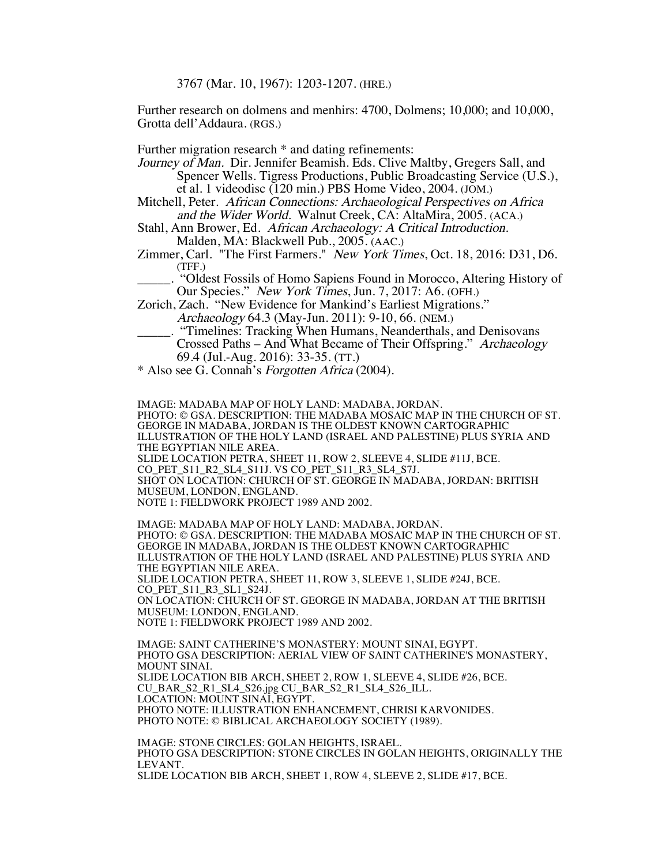3767 (Mar. 10, 1967): 1203-1207. (HRE.)

Further research on dolmens and menhirs: 4700, Dolmens; 10,000; and 10,000, Grotta dell'Addaura. (RGS.)

Further migration research \* and dating refinements:

Journey of Man. Dir. Jennifer Beamish. Eds. Clive Maltby, Gregers Sall, and Spencer Wells. Tigress Productions, Public Broadcasting Service (U.S.), et al. 1 videodisc (120 min.) PBS Home Video, 2004. (JOM.)

- Mitchell, Peter. African Connections: Archaeological Perspectives on Africa and the Wider World. Walnut Creek, CA: AltaMira, 2005. (ACA.)
- Stahl, Ann Brower, Ed. African Archaeology: A Critical Introduction. Malden, MA: Blackwell Pub., 2005. (AAC.)
- Zimmer, Carl. "The First Farmers." New York Times, Oct. 18, 2016: D31, D6. (TFF.)

\_\_\_\_\_. "Oldest Fossils of Homo Sapiens Found in Morocco, Altering History of Our Species." New York Times, Jun. 7, 2017: A6. (OFH.)

Zorich, Zach. "New Evidence for Mankind's Earliest Migrations."

- Archaeology 64.3 (May-Jun. 2011): 9-10, 66. (NEM.)
- \_\_\_\_\_. "Timelines: Tracking When Humans, Neanderthals, and Denisovans Crossed Paths – And What Became of Their Offspring." Archaeology 69.4 (Jul.-Aug. 2016): 33-35. (TT.)

\* Also see G. Connah's Forgotten Africa (2004).

IMAGE: MADABA MAP OF HOLY LAND: MADABA, JORDAN. PHOTO: © GSA. DESCRIPTION: THE MADABA MOSAIC MAP IN THE CHURCH OF ST. GEORGE IN MADABA, JORDAN IS THE OLDEST KNOWN CARTOGRAPHIC ILLUSTRATION OF THE HOLY LAND (ISRAEL AND PALESTINE) PLUS SYRIA AND THE EGYPTIAN NILE AREA. SLIDE LOCATION PETRA, SHEET 11, ROW 2, SLEEVE 4, SLIDE #11J, BCE. CO PET S11 R2 SL4 S11J. VS CO PET S11 R3 SL4 S7J. SHOT ON LOCATION: CHURCH OF ST. GEORGE IN MADABA, JORDAN: BRITISH MUSEUM, LONDON, ENGLAND. NOTE 1: FIELDWORK PROJECT 1989 AND 2002. IMAGE: MADABA MAP OF HOLY LAND: MADABA, JORDAN. PHOTO: © GSA. DESCRIPTION: THE MADABA MOSAIC MAP IN THE CHURCH OF ST. GEORGE IN MADABA, JORDAN IS THE OLDEST KNOWN CARTOGRAPHIC ILLUSTRATION OF THE HOLY LAND (ISRAEL AND PALESTINE) PLUS SYRIA AND THE EGYPTIAN NILE AREA. SLIDE LOCATION PETRA, SHEET 11, ROW 3, SLEEVE 1, SLIDE #24J, BCE. CO\_PET\_S11\_R3\_SL1\_S24J. ON LOCATION: CHURCH OF ST. GEORGE IN MADABA, JORDAN AT THE BRITISH MUSEUM: LONDON, ENGLAND.

NOTE 1: FIELDWORK PROJECT 1989 AND 2002.

IMAGE: SAINT CATHERINE'S MONASTERY: MOUNT SINAI, EGYPT. PHOTO GSA DESCRIPTION: AERIAL VIEW OF SAINT CATHERINE'S MONASTERY, MOUNT SINAI. SLIDE LOCATION BIB ARCH, SHEET 2, ROW 1, SLEEVE 4, SLIDE #26, BCE. CU\_BAR\_S2\_R1\_SL4\_S26.jpg CU\_BAR\_S2\_R1\_SL4\_S26\_ILL. LOCATION: MOUNT SINAI, EGYPT. PHOTO NOTE: ILLUSTRATION ENHANCEMENT, CHRISI KARVONIDES. PHOTO NOTE: © BIBLICAL ARCHAEOLOGY SOCIETY (1989).

IMAGE: STONE CIRCLES: GOLAN HEIGHTS, ISRAEL. PHOTO GSA DESCRIPTION: STONE CIRCLES IN GOLAN HEIGHTS, ORIGINALLY THE LEVANT. SLIDE LOCATION BIB ARCH, SHEET 1, ROW 4, SLEEVE 2, SLIDE #17, BCE.